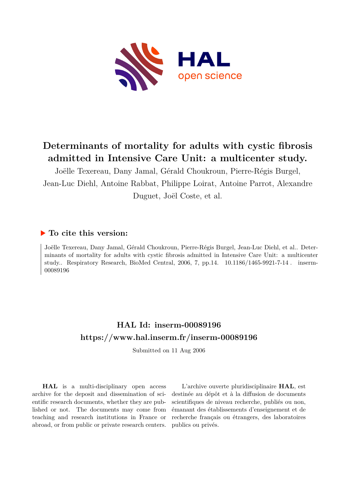

# **Determinants of mortality for adults with cystic fibrosis admitted in Intensive Care Unit: a multicenter study.**

Joëlle Texereau, Dany Jamal, Gérald Choukroun, Pierre-Régis Burgel, Jean-Luc Diehl, Antoine Rabbat, Philippe Loirat, Antoine Parrot, Alexandre Duguet, Joël Coste, et al.

# **To cite this version:**

Joëlle Texereau, Dany Jamal, Gérald Choukroun, Pierre-Régis Burgel, Jean-Luc Diehl, et al.. Determinants of mortality for adults with cystic fibrosis admitted in Intensive Care Unit: a multicenter study.. Respiratory Research, BioMed Central, 2006, 7, pp.14.  $10.1186/1465-9921-7-14$ . inserm-00089196ff

# **HAL Id: inserm-00089196 <https://www.hal.inserm.fr/inserm-00089196>**

Submitted on 11 Aug 2006

**HAL** is a multi-disciplinary open access archive for the deposit and dissemination of scientific research documents, whether they are published or not. The documents may come from teaching and research institutions in France or abroad, or from public or private research centers.

L'archive ouverte pluridisciplinaire **HAL**, est destinée au dépôt et à la diffusion de documents scientifiques de niveau recherche, publiés ou non, émanant des établissements d'enseignement et de recherche français ou étrangers, des laboratoires publics ou privés.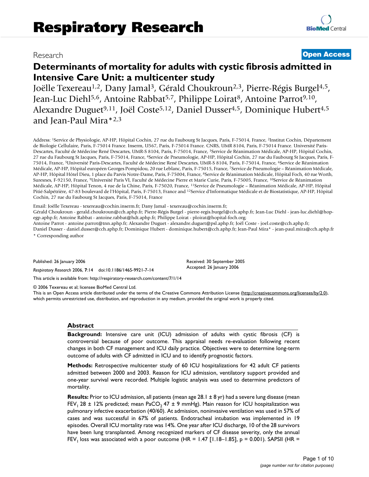# Research [Open Access](http://www.biomedcentral.com/info/about/charter/)

# **Determinants of mortality for adults with cystic fibrosis admitted in Intensive Care Unit: a multicenter study**

Joëlle Texereau<sup>1,2</sup>, Dany Jamal<sup>3</sup>, Gérald Choukroun<sup>2,3</sup>, Pierre-Régis Burgel<sup>4,5</sup>, Jean-Luc Diehl<sup>5,6</sup>, Antoine Rabbat<sup>5,7</sup>, Philippe Loirat<sup>8</sup>, Antoine Parrot<sup>9,10</sup>, Alexandre Duguet<sup>9,11</sup>, Joël Coste<sup>5,12</sup>, Daniel Dusser<sup>4,5</sup>, Dominique Hubert<sup>4,5</sup> and Jean-Paul Mira\*2,3

Address: <sup>1</sup>Service de Physiologie, AP-HP, Hôpital Cochin, 27 rue du Faubourg St Jacques, Paris, F-75014, France, <sup>2</sup>Institut Cochin, Département de Biologie Cellulaire, Paris, F-75014 France. Inserm, U567, Paris, F-75014 France. CNRS, UMR 8104, Paris, F-75014 France. Université Paris-Descartes, Faculté de Médecine René Descartes, UMR-S 8104, Paris, F-75014, France, <sup>3</sup>Service de Réanimation Médicale, AP-HP, Hôpital Cochin, 27 rue du Faubourg St Jacques, Paris, F-75014, France, 4Service de Pneumologie, AP-HP, Hôpital Cochin, 27 rue du Faubourg St Jacques, Paris, F-75014, France, <sup>5</sup>Université Paris-Descartes, Faculté de Médecine René Descartes, UMR-S 8104, Paris, F-75014, France, <sup>6</sup>Service de Réanimation Médicale, AP-HP, Hôpital européen Georges Pompidou, 20 rue Leblanc, Paris, F-75015, France, <sup>7</sup>Service de Pneumologie – Réanimation Médicale, AP-HP, Hôpital Hôtel Dieu, 1 place du Parvis Notre-Dame, Paris, F-75004, France, <sup>8</sup>Service de Réanimation Médicale, Hôpital Foch, 40 rue Worth, Suresnes, F-92150, France, <sup>9</sup>Université Paris VI, Faculté de Médecine Pierre et Marie Curie, Paris, F-75005, France, <sup>10</sup>Service de Réanimation Médicale, AP-HP, Hôpital Tenon, 4 rue de la Chine, Paris, F-75020, France, <sup>11</sup>Service de Pneumologie – Réanimation Médicale, AP-HP, Hôpital Pitié-Salpétrière, 47-83 boulevard de l'Hôpital, Paris, F-75013, France and <sup>12</sup>Service d'Informatique Médicale et de Biostatistique, AP-HP, Hôpital Cochin, 27 rue du Faubourg St Jacques, Paris, F-75014, France

Email: Joëlle Texereau - texereau@cochin.inserm.fr; Dany Jamal - texereau@cochin.inserm.fr;

Gérald Choukroun - gerald.choukroun@cch.aphp.fr; Pierre-Régis Burgel - pierre-regis.burgel@cch.aphp.fr; Jean-Luc Diehl - jean-luc.diehl@hopegp.aphp.fr; Antoine Rabbat - antoine.rabbat@hdt.aphp.fr; Philippe Loirat - ploirat@hopital-foch.org;

Antoine Parrot - antoine.parrot@tnn.aphp.fr; Alexandre Duguet - alexandre.duguet@psl.aphp.fr; Joël Coste - joel.coste@cch.aphp.fr;

Daniel Dusser - daniel.dusser@cch.aphp.fr; Dominique Hubert - dominique.hubert@cch.aphp.fr; Jean-Paul Mira\* - jean-paul.mira@cch.aphp.fr \* Corresponding author

> Received: 30 September 2005 Accepted: 26 January 2006

Published: 26 January 2006

*Respiratory Research* 2006, **7**:14 doi:10.1186/1465-9921-7-14

[This article is available from: http://respiratory-research.com/content/7/1/14](http://respiratory-research.com/content/7/1/14)

© 2006 Texereau et al; licensee BioMed Central Ltd.

This is an Open Access article distributed under the terms of the Creative Commons Attribution License [\(http://creativecommons.org/licenses/by/2.0\)](http://creativecommons.org/licenses/by/2.0), which permits unrestricted use, distribution, and reproduction in any medium, provided the original work is properly cited.

## **Abstract**

**Background:** Intensive care unit (ICU) admission of adults with cystic fibrosis (CF) is controversial because of poor outcome. This appraisal needs re-evaluation following recent changes in both CF management and ICU daily practice. Objectives were to determine long-term outcome of adults with CF admitted in ICU and to identify prognostic factors.

**Methods:** Retrospective multicenter study of 60 ICU hospitalizations for 42 adult CF patients admitted between 2000 and 2003. Reason for ICU admission, ventilatory support provided and one-year survival were recorded. Multiple logistic analysis was used to determine predictors of mortality.

**Results:** Prior to ICU admission, all patients (mean age 28.1 ± 8 yr) had a severe lung disease (mean FEV<sub>1</sub> 28 ± 12% predicted; mean PaCO<sub>2</sub> 47 ± 9 mmHg). Main reason for ICU hospitalization was pulmonary infective exacerbation (40/60). At admission, noninvasive ventilation was used in 57% of cases and was successful in 67% of patients. Endotracheal intubation was implemented in 19 episodes. Overall ICU mortality rate was 14%. One year after ICU discharge, 10 of the 28 survivors have been lung transplanted. Among recognized markers of CF disease severity, only the annual FEV<sub>1</sub> loss was associated with a poor outcome (HR =  $1.47$  [1.18–1.85], p = 0.001). SAPSII (HR =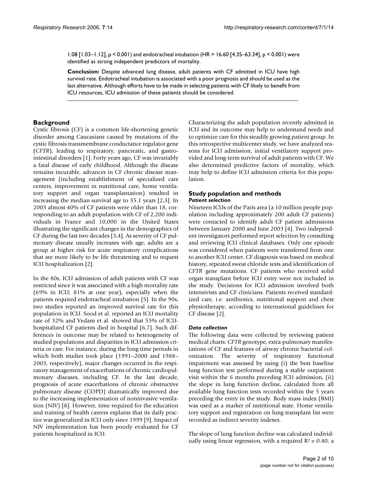1.08 [1.03–1.12], p < 0.001) and endotracheal intubation (HR = 16.60 [4.35–63.34], p < 0.001) were identified as strong independent predictors of mortality.

**Conclusion:** Despite advanced lung disease, adult patients with CF admitted in ICU have high survival rate. Endotracheal intubation is associated with a poor prognosis and should be used as the last alternative. Although efforts have to be made in selecting patients with CF likely to benefit from ICU resources, ICU admission of these patients should be considered.

# **Background**

Cystic fibrosis (CF) is a common life-shortening genetic disorder among Caucasians caused by mutations of the cystic fibrosis transmembrane conductance regulator gene (*CFTR*), leading to respiratory, pancreatic, and gastrointestinal disorders [1]. Forty years ago, CF was invariably a fatal disease of early childhood. Although the disease remains incurable, advances in CF chronic disease management (including establishment of specialized care centers, improvement in nutritional care, home ventilatory support and organ transplantation) resulted in increasing the median survival age to 35.1 years [2,3]. In 2003 almost 40% of CF patients were older than 18, corresponding to an adult population with CF of 2,200 individuals in France and 10,000 in the United States illustrating the significant changes in the demographics of CF during the last two decades [3,4]. As severity of CF pulmonary disease usually increases with age, adults are a group at higher risk for acute respiratory complications that are more likely to be life threatening and to request ICU hospitalization [2].

In the 80s, ICU admission of adult patients with CF was restricted since it was associated with a high mortality rate (69% in ICU; 81% at one year), especially when the patients required endotracheal intubation [5]. In the 90s, two studies reported an improved survival rate for this population in ICU. Sood et al. reported an ICU mortality rate of 32% and Vedam et al. showed that 55% of ICUhospitalized CF patients died in hospital [6,7]. Such differences in outcome may be related to heterogeneity of studied populations and disparities in ICU admission criteria or care. For instance, during the long time periods in which both studies took place (1991–2000 and 1988– 2003, respectively), major changes occurred in the respiratory management of exacerbations of chronic cardiopulmonary diseases, including CF. In the last decade, prognosis of acute exacerbations of chronic obstructive pulmonary disease (COPD) dramatically improved due to the increasing implementation of noninvasive ventilation (NIV) [8]. However, time required for the education and training of health careers explains that its daily practice was generalized in ICU only since 1999 [9]. Impact of NIV implementation has been poorly evaluated for CF patients hospitalized in ICU.

Characterizing the adult population recently admitted in ICU and its outcome may help to understand needs and to optimize care for this steadily growing patient group. In this retrospective multicenter study, we have analyzed reasons for ICU admission, initial ventilatory support provided and long-term survival of adult patients with CF. We also determined predictive factors of mortality, which may help to define ICU admission criteria for this population.

# **Study population and methods** *Patient selection*

Nineteen ICUs of the Paris area (a 10 million people population including approximately 200 adult CF patients) were contacted to identify adult CF patient admissions between January 2000 and June 2003 [4]. Two independent investigators performed report selection by consulting and reviewing ICU clinical databases. Only one episode was considered when patients were transferred from one to another ICU center. CF diagnosis was based on medical history, repeated sweat chloride tests and identification of *CFTR* gene mutations. CF patients who received solid organ transplant before ICU entry were not included in the study. Decisions for ICU admission involved both intensivists and CF clinicians. Patients received standardized care, i.e. antibiotics, nutritional support and chest physiotherapy, according to international guidelines for CF disease [2].

# *Data collection*

The following data were collected by reviewing patient medical charts: *CFTR* genotype, extra-pulmonary manifestations of CF and features of airway chronic bacterial colonization. The severity of respiratory functional impairment was assessed by using (i) the best baseline lung function test performed during a stable outpatient visit within the 6 months preceding ICU admission, (ii) the slope in lung function decline, calculated from all available lung function tests recorded within the 5 years preceding the entry in the study. Body mass index (BMI) was used as a marker of nutritional state. Home ventilatory support and registration on lung transplant list were recorded as indirect severity indexes.

The slope of lung function decline was calculated individually using linear regression, with a required  $R^2 > 0.40$ , a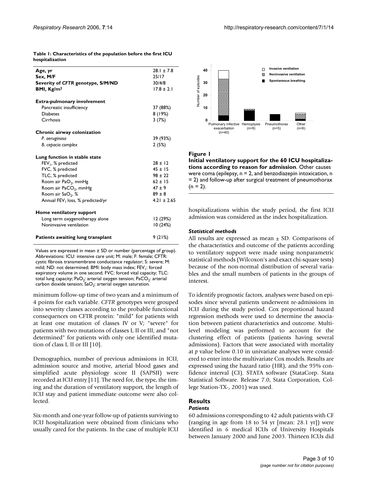| Table 1: Characteristics of the population before the first ICU |  |
|-----------------------------------------------------------------|--|
| hospitalization                                                 |  |

| Age, yr<br>Sex, M/F                      | $28.1 \pm 7.8$<br>25/17 |
|------------------------------------------|-------------------------|
| Severity of CFTR genotype, S/M/ND        | 30/4/8                  |
| <b>BMI, Kg/m<sup>2</sup></b>             | $17.8 + 2.1$            |
|                                          |                         |
| <b>Extra-pulmonary involvement</b>       |                         |
| Pancreatic insufficiency                 | 37 (88%)                |
| <b>Diabetes</b>                          | 8(19%)                  |
| Cirrhosis                                | 3(7%)                   |
|                                          |                         |
| Chronic airway colonization              |                         |
| P. aeruginosa                            | 39 (93%)                |
| B. cepacia complex                       | 2 (5%)                  |
|                                          |                         |
| Lung function in stable state            |                         |
| FEV, % predicted                         | $28 + 12$               |
| FVC, % predicted                         | $45 + 15$               |
| TLC, % predicted                         | $98 \pm 22$             |
| Room air PaO <sub>2</sub> , mmHg         | $62 + 15$               |
| Room air PaCO <sub>2</sub> , mmHg        | $47 + 9$                |
| Room air $SaO2$ , %                      | $89 + 8$                |
| Annual FEV, loss, % predicted/yr         | $4.21 \pm 2.65$         |
|                                          |                         |
| Home ventilatory support                 |                         |
| Long term oxygenotherapy alone           | 12 (29%)                |
| Noninvasive ventilation                  | 10(24%)                 |
|                                          |                         |
| <b>Patients awaiting lung transplant</b> | 9 (21%)                 |
|                                          |                         |

Values are expressed in mean ± SD or number (percentage of group). Abbreviations: ICU: intensive care unit; M: male; F: female; CFTR: cystic fibrosis transmembrane conductance regulator; S: severe; M: mild; ND: not determined; BMI: body mass index; FEV<sub>1</sub>: forced expiratory volume in one second; FVC: forced vital capacity; TLC: total lung capacity; Pa $\mathrm{O}_2$ : arterial oxygen tension; PaC $\mathrm{O}_2$ : arterial carbon dioxide tension; Sa $\mathrm{O}_2$ : arterial oxygen saturation.

minimum follow-up time of two years and a minimum of 4 points for each variable. *CFTR* genotypes were grouped into severity classes according to the probable functional consequences on CFTR protein: "mild" for patients with at least one mutation of classes IV or V; "severe" for patients with two mutations of classes I, II or III; and "not determined" for patients with only one identified mutation of class I, II or III [10].

Demographics, number of previous admissions in ICU, admission source and motive, arterial blood gases and simplified acute physiology score II (SAPSII) were recorded at ICU entry [11]. The need for, the type, the timing and the duration of ventilatory support, the length of ICU stay and patient immediate outcome were also collected.

Six-month and one-year follow-up of patients surviving to ICU hospitalization were obtained from clinicians who usually cared for the patients. In the case of multiple ICU



#### **Figure 1**

**Initial ventilatory support for the 60 ICU hospitalizations according to reason for admission**. Other causes were coma (epilepsy,  $n = 2$ , and benzodiazepin intoxication, n = 2) and follow-up after surgical treatment of pneumothorax  $(n = 2)$ .

hospitalizations within the study period, the first ICU admission was considered as the index hospitalization.

#### *Statistical methods*

All results are expressed as mean  $\pm$  SD. Comparisons of the characteristics and outcome of the patients according to ventilatory support were made using nonparametric statistical methods (Wilcoxon's and exact chi-square tests) because of the non-normal distribution of several variables and the small numbers of patients in the groups of interest.

To identify prognostic factors, analyses were based on episodes since several patients underwent re-admissions in ICU during the study period. Cox proportional hazard regression methods were used to determine the association between patient characteristics and outcome. Multilevel modeling was performed to account for the clustering effect of patients (patients having several admissions). Factors that were associated with mortality at *p* value below 0.10 in univariate analyses were considered to enter into the multivariate Cox models. Results are expressed using the hazard ratio (HR), and the 95% confidence interval (CI). STATA software (StataCorp. Stata Statistical Software. Release 7.0, Stata Corporation, College Station-TX-, 2001) was used.

# **Results**

## *Patients*

60 admissions corresponding to 42 adult patients with CF (ranging in age from 18 to 54 yr [mean: 28.1 yr]) were identified in 6 medical ICUs of University Hospitals between January 2000 and June 2003. Thirteen ICUs did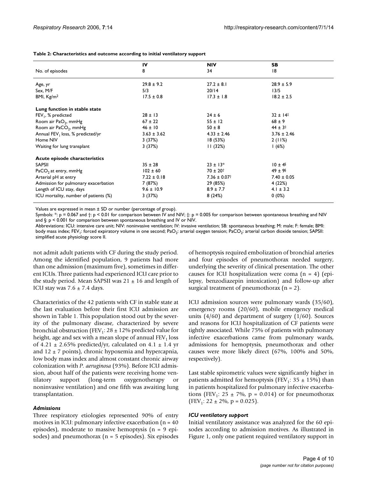|  |  |  | Table 2: Characteristics and outcome according to initial ventilatory support |
|--|--|--|-------------------------------------------------------------------------------|
|--|--|--|-------------------------------------------------------------------------------|

|                                       | IV              | <b>NIV</b>                   | SB                    |
|---------------------------------------|-----------------|------------------------------|-----------------------|
| No. of episodes                       | 8               | 34                           | 18                    |
| Age, yr                               | $29.8 \pm 9.2$  | $27.2 \pm 8.1$               | $28.9 \pm 5.9$        |
| Sex, M/F                              | 5/3             | 20/14                        | 13/5                  |
| BMI, Kg/m <sup>2</sup>                | $17.5 \pm 0.8$  | $17.3 \pm 1.8$               | $18.2 \pm 2.5$        |
| Lung function in stable state         |                 |                              |                       |
| $FEV1$ , % predicted                  | $28 \pm 13$     | $24 \pm 6$                   | $32 \pm 14^{\circ}$   |
| Room air PaO <sub>2</sub> , mmHg      | $67 \pm 22$     | $55 \pm 12$                  | $68 \pm 9$            |
| Room air PaCO <sub>2</sub> , mmHg     | $46 \pm 10$     | $50 \pm 8$                   | $44 \pm 3^{\ddagger}$ |
| Annual FEV, loss, % predicted/yr      | $3.63 \pm 3.62$ | $4.33 \pm 2.46$              | $3.76 \pm 2.46$       |
| Home NIV                              | 3(37%)          | 18(53%)                      | 2(11%)                |
| Waiting for lung transplant           | 3(37%)          | 11(32%)                      | 1(6%)                 |
| Acute episode characteristics         |                 |                              |                       |
| <b>SAPSII</b>                         | $35 \pm 28$     | $23 \pm 13$ *                | $10 \pm 4$            |
| $PaCO2$ at entry, mmHg                | $102 \pm 60$    | $70 \pm 20^+$                | $49 \pm 9$            |
| Arterial pH at entry                  | $7.22 \pm 0.18$ | $7.36 \pm 0.07$ <sup>+</sup> | $7.40 \pm 0.05$       |
| Admission for pulmonary exacerbation  | 7 (87%)         | 29 (85%)                     | 4 (22%)               |
| Length of ICU stay, days              | $9.6 \pm 10.9$  | $8.9 \pm 7.7$                | $4.1 \pm 3.2$         |
| ICU mortality, number of patients (%) | 3 (37%)         | 8(24%)                       | $0(0\%)$              |

Values are expressed in mean ± SD or number (percentage of group).

Symbols: \*: p = 0.067 and †: p < 0.01 for comparison between IV and NIV; ‡: p = 0.005 for comparison between spontaneous breathing and NIV and §: p < 0.001 for comparison between spontaneous breathing and IV or NIV.

Abbreviations: ICU: intensive care unit; NIV: noninvasive ventilation; IV: invasive ventilation; SB: spontaneous breathing; M: male; F: female; BMI: body mass index; FEV<sub>1</sub>: forced expiratory volume in one second; PaO<sub>2</sub>: arterial oxygen tension; PaCO<sub>2</sub>: arterial carbon dioxide tension; SAPSII: simplified acute physiology score II.

not admit adult patients with CF during the study period. Among the identified population, 9 patients had more than one admission (maximum five), sometimes in different ICUs. Three patients had experienced ICU care prior to the study period. Mean SAPSII was  $21 \pm 16$  and length of ICU stay was  $7.6 \pm 7.4$  days.

Characteristics of the 42 patients with CF in stable state at the last evaluation before their first ICU admission are shown in Table 1. This population stood out by the severity of the pulmonary disease, characterized by severe bronchial obstruction (FEV<sub>1</sub>: 28  $\pm$  12% predicted value for height, age and sex with a mean slope of annual  $FEV<sub>1</sub>$  loss of 4.21  $\pm$  2.65% predicted/yr, calculated on 4.1  $\pm$  1.4 yr and  $12 \pm 7$  points), chronic hypoxemia and hypercapnia, low body mass index and almost constant chronic airway colonization with *P. aeruginosa* (93%). Before ICU admission, about half of the patients were receiving home ventilatory support (long-term oxygenotherapy or noninvasive ventilation) and one fifth was awaiting lung transplantation.

# *Admissions*

Three respiratory etiologies represented 90% of entry motives in ICU: pulmonary infective exacerbation ( $n = 40$ ) episodes), moderate to massive hemoptysis (n = 9 episodes) and pneumothorax  $(n = 5$  episodes). Six episodes of hemoptysis required embolization of bronchial arteries and four episodes of pneumothorax needed surgery, underlying the severity of clinical presentation. The other causes for ICU hospitalization were coma  $(n = 4)$  (epilepsy, benzodiazepin intoxication) and follow-up after surgical treatment of pneumothorax  $(n = 2)$ .

ICU admission sources were pulmonary wards (35/60), emergency rooms (20/60), mobile emergency medical units  $(4/60)$  and department of surgery  $(1/60)$ . Sources and reasons for ICU hospitalization of CF patients were tightly associated. While 75% of patients with pulmonary infective exacerbations came from pulmonary wards, admissions for hemoptysis, pneumothorax and other causes were more likely direct (67%, 100% and 50%, respectively).

Last stable spirometric values were significantly higher in patients admitted for hemoptysis (FEV<sub>1</sub>:  $35 \pm 15\%$ ) than in patients hospitalized for pulmonary infective exacerbations (FEV<sub>1</sub>: 25  $\pm$  7%, p = 0.014) or for pneumothorax  $(FEV<sub>1</sub>: 22 \pm 2\%, p = 0.025).$ 

# *ICU ventilatory support*

Initial ventilatory assistance was analyzed for the 60 episodes according to admission motives. As illustrated in Figure 1, only one patient required ventilatory support in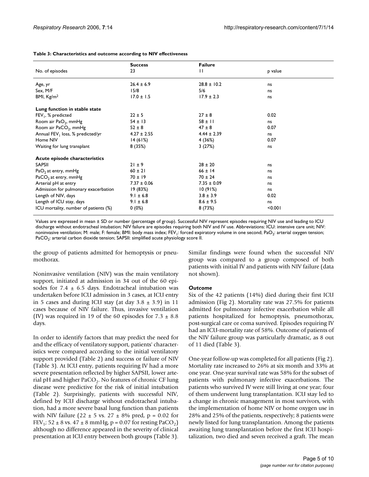|                                       | <b>Success</b>  | <b>Failure</b>  |         |
|---------------------------------------|-----------------|-----------------|---------|
| No. of episodes                       | 23              | $\mathbf{H}$    | p value |
| Age, yr                               | $26.4 \pm 6.9$  | $28.8 \pm 10.2$ | ns      |
| Sex, M/F                              | 15/8            | 5/6             | ns      |
| BMI, Kg/m <sup>2</sup>                | $17.0 \pm 1.5$  | $17.9 \pm 2.3$  | ns      |
| Lung function in stable state         |                 |                 |         |
| $FEV1$ , % predicted                  | $22 \pm 5$      | $27 \pm 8$      | 0.02    |
| Room air PaO <sub>2</sub> , mmHg      | $54 \pm 13$     | $58 \pm 11$     | ns      |
| Room air PaCO <sub>2</sub> , mmHg     | $52 \pm 8$      | $47 \pm 8$      | 0.07    |
| Annual FEV, loss, % predicted/yr      | $4.27 \pm 2.55$ | $4.44 \pm 2.39$ | ns      |
| Home NIV                              | 14(61%)         | 4 (36%)         | 0.07    |
| Waiting for lung transplant           | 8 (35%)         | 3(27%)          | ns      |
| Acute episode characteristics         |                 |                 |         |
| <b>SAPSII</b>                         | $21 \pm 9$      | $28 \pm 20$     | ns      |
| $PaO2$ at entry, mmHg                 | $60 \pm 21$     | $66 \pm 14$     | ns      |
| $PaCO2$ at entry, mmHg                | $70 \pm 19$     | $70 \pm 24$     | ns      |
| Arterial pH at entry                  | $7.37 \pm 0.06$ | $7.35 \pm 0.09$ | ns      |
| Admission for pulmonary exacerbation  | 19(83%)         | 10(91%)         | ns      |
| Length of NIV, days                   | $9.1 \pm 6.8$   | $3.8 \pm 3.9$   | 0.02    |
| Length of ICU stay, days              | $9.1 \pm 6.8$   | $8.6 \pm 9.5$   | ns      |
| ICU mortality, number of patients (%) | $0(0\%)$        | 8(73%)          | < 0.001 |

Values are expressed in mean ± SD or number (percentage of group). Successful NIV represent episodes requiring NIV use and leading to ICU discharge without endotracheal intubation; NIV failure are episodes requiring both NIV and IV use. Abbreviations: ICU: intensive care unit; NIV: noninvasive ventilation; M: male; F: female; BMI: body mass index; FEV<sub>I</sub>: forced expiratory volume in one second; PaO<sub>2</sub>: arterial oxygen tension; PaCO $_2$ : arterial carbon dioxide tension; SAPSII: simplified acute physiology score II.

the group of patients admitted for hemoptysis or pneumothorax.

Noninvasive ventilation (NIV) was the main ventilatory support, initiated at admission in 34 out of the 60 episodes for 7.4  $\pm$  6.5 days. Endotracheal intubation was undertaken before ICU admission in 3 cases, at ICU entry in 5 cases and during ICU stay (at day  $3.8 \pm 3.9$ ) in 11 cases because of NIV failure. Thus, invasive ventilation (IV) was required in 19 of the 60 episodes for  $7.3 \pm 8.8$ days.

In order to identify factors that may predict the need for and the efficacy of ventilatory support, patients' characteristics were compared according to the initial ventilatory support provided (Table 2) and success or failure of NIV (Table 3). At ICU entry, patients requiring IV had a more severe presentation reflected by higher SAPSII, lower arterial pH and higher PaCO<sub>2</sub>. No features of chronic CF lung disease were predictive for the risk of initial intubation (Table 2). Surprisingly, patients with successful NIV, defined by ICU discharge without endotracheal intubation, had a more severe basal lung function than patients with NIV failure (22  $\pm$  5 vs. 27  $\pm$  8% pred, p = 0.02 for FEV<sub>1</sub>; 52  $\pm$  8 vs. 47  $\pm$  8 mmHg, p = 0.07 for resting PaCO<sub>2</sub>) although no difference appeared in the severity of clinical presentation at ICU entry between both groups (Table 3).

Similar findings were found when the successful NIV group was compared to a group composed of both patients with initial IV and patients with NIV failure (data not shown).

#### *Outcome*

Six of the 42 patients (14%) died during their first ICU admission (Fig 2). Mortality rate was 27.5% for patients admitted for pulmonary infective exacerbation while all patients hospitalized for hemoptysis, pneumothorax, post-surgical care or coma survived. Episodes requiring IV had an ICU-mortality rate of 58%. Outcome of patients of the NIV failure group was particularly dramatic, as 8 out of 11 died (Table 3).

One-year follow-up was completed for all patients (Fig 2). Mortality rate increased to 26% at six month and 33% at one year. One-year survival rate was 58% for the subset of patients with pulmonary infective exacerbations. The patients who survived IV were still living at one year; four of them underwent lung transplantation. ICU stay led to a change in chronic management in most survivors, with the implementation of home NIV or home oxygen use in 28% and 25% of the patients, respectively; 8 patients were newly listed for lung transplantation. Among the patients awaiting lung transplantation before the first ICU hospitalization, two died and seven received a graft. The mean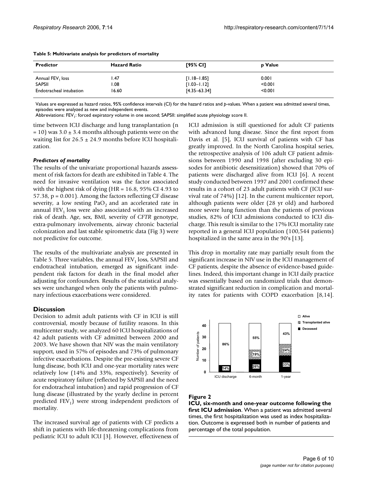| <b>Predictor</b>        | <b>Hazard Ratio</b> | [95% CI]         | p Value |  |
|-------------------------|---------------------|------------------|---------|--|
| Annual FEV, loss        | 47. ا               | $[1.18 - 1.85]$  | 0.001   |  |
| <b>SAPSII</b>           | 1.08                | $[1.03 - 1.12]$  | < 0.001 |  |
| Endotracheal intubation | 16.60               | $[4.35 - 63.34]$ | < 0.001 |  |

| Table 5: Multivariate analysis for predictors of mortality |  |
|------------------------------------------------------------|--|
|------------------------------------------------------------|--|

Values are expressed as hazard ratios, 95% confidence intervals (CI) for the hazard ratios and *p*-values. When a patient was admitted several times, episodes were analyzed as new and independent events.

Abbreviations:  $\mathsf{FEV}_1$ : forced expiratory volume in one second; SAPSII: simplified acute physiology score II.

time between ICU discharge and lung transplantation (n  $= 10$ ) was  $3.0 \pm 3.4$  months although patients were on the waiting list for  $26.5 \pm 24.9$  months before ICU hospitalization.

#### *Predictors of mortality*

The results of the univariate proportional hazards assessment of risk factors for death are exhibited in Table 4. The need for invasive ventilation was the factor associated with the highest risk of dying  $(HR = 16.8, 95\% \text{ CI } 4.93 \text{ to } 10^{-1}$ 57.38, p = 0.001). Among the factors reflecting CF disease severity, a low resting  $PaO<sub>2</sub>$  and an accelerated rate in annual  $FEV<sub>1</sub>$  loss were also associated with an increased risk of death. Age, sex, BMI, severity of *CFTR* genotype, extra-pulmonary involvements, airway chronic bacterial colonization and last stable spirometric data (Fig 3) were not predictive for outcome.

The results of the multivariate analysis are presented in Table 5. Three variables, the annual  $FEV<sub>1</sub>$  loss, SAPSII and endotracheal intubation, emerged as significant independent risk factors for death in the final model after adjusting for confounders. Results of the statistical analyses were unchanged when only the patients with pulmonary infectious exacerbations were considered.

## **Discussion**

Decision to admit adult patients with CF in ICU is still controversial, mostly because of futility reasons. In this multicenter study, we analyzed 60 ICU hospitalizations of 42 adult patients with CF admitted between 2000 and 2003. We have shown that NIV was the main ventilatory support, used in 57% of episodes and 73% of pulmonary infective exacerbations. Despite the pre-existing severe CF lung disease, both ICU and one-year mortality rates were relatively low (14% and 33%, respectively). Severity of acute respiratory failure (reflected by SAPSII and the need for endotracheal intubation) and rapid progression of CF lung disease (illustrated by the yearly decline in percent predicted  $\text{FEV}_1$ ) were strong independent predictors of mortality.

The increased survival age of patients with CF predicts a shift in patients with life-threatening complications from pediatric ICU to adult ICU [3]. However, effectiveness of ICU admission is still questioned for adult CF patients with advanced lung disease. Since the first report from Davis et al. [5], ICU survival of patients with CF has greatly improved. In the North Carolina hospital series, the retrospective analysis of 106 adult CF patient admissions between 1990 and 1998 (after excluding 30 episodes for antibiotic desensitization) showed that 70% of patients were discharged alive from ICU [6]. A recent study conducted between 1997 and 2001 confirmed these results in a cohort of 23 adult patients with CF (ICU survival rate of 74%) [12]. In the current multicenter report, although patients were older (28 yr old) and harbored more severe lung function than the patients of previous studies, 82% of ICU admissions conducted to ICU discharge. This result is similar to the 17% ICU mortality rate reported in a general ICU population (100,544 patients) hospitalized in the same area in the 90's [13].

This drop in mortality rate may partially result from the significant increase in NIV use in the ICU management of CF patients, despite the absence of evidence-based guidelines. Indeed, this important change in ICU daily practice was essentially based on randomized trials that demonstrated significant reduction in complication and mortality rates for patients with COPD exacerbation [8,14].



# Figure 2

**ICU, six-month and one-year outcome following the first ICU admission**. When a patient was admitted several times, the first hospitalization was used as index hospitalization. Outcome is expressed both in number of patients and percentage of the total population.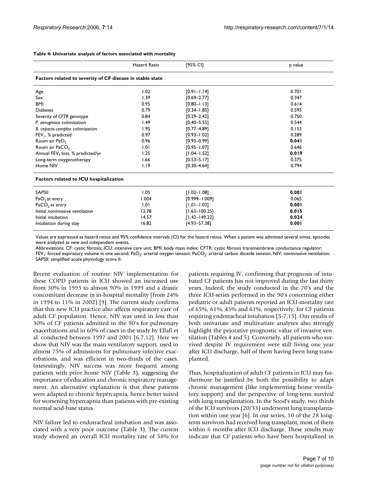|                                                           | Hazard Ratio | [95% CI]          | p value |
|-----------------------------------------------------------|--------------|-------------------|---------|
| Factors related to severity of CF disease in stable state |              |                   |         |
| Age                                                       | 1.02         | $[0.91 - 1.14]$   | 0.701   |
| Sex                                                       | 1.39         | $[0.69 - 2.77]$   | 0.347   |
| <b>BMI</b>                                                | 0.95         | $[0.80 - 1.13]$   | 0.614   |
| <b>Diabetes</b>                                           | 0.79         | $[0.34 - 1.85]$   | 0.595   |
| Severity of CFTR genotype                                 | 0.84         | $[0.29 - 2.42]$   | 0.750   |
| P. aeruginosa colonization                                | 1.49         | $[0.40 - 5.55]$   | 0.544   |
| B. cepacia complex colonization                           | 1.95         | $[0.77 - 4.89]$   | 0.153   |
| $FEV1$ , % predicted                                      | 0.97         | $[0.93 - 1.02]$   | 0.289   |
| Room air PaO <sub>2</sub>                                 | 0.96         | $[0.93 - 0.99]$   | 0.041   |
| Room air PaCO <sub>2</sub>                                | 1.01         | $[0.95 - 1.07]$   | 0.646   |
| Annual FEV, loss, % predicted/yr                          | 1.25         | $[1.04 - 1.52]$   | 0.019   |
| Long-term oxygenotherapy                                  | 1.66         | $[0.53 - 5.17]$   | 0.375   |
| Home NIV                                                  | 1.19         | $[0.30 - 4.64]$   | 0.794   |
| Factors related to ICU hospitalization                    |              |                   |         |
| <b>SAPSII</b>                                             | 1.05         | $[1.02 - 1.08]$   | 0.001   |
| $PaO2$ at entry                                           | 1.004        | $[0.999 - 1.009]$ | 0.065   |
| $PaCO2$ at entry                                          | 1.01         | $[1.01 - 1.02]$   | 0.001   |
| Initial noninvasive ventilation                           | 12.78        | $[1.63 - 100.25]$ | 0.015   |
| Initial intubation                                        | 14.57        | $[1.42 - 149.22]$ | 0.024   |
| Intubation during stay                                    | 16.82        | $[4.93 - 57.38]$  | 0.001   |

#### **Table 4: Univariate analysis of factors associated with mortality**

Values are expressed as hazard ratios and 95% confidence intervals (CI) for the hazard ratios. When a patient was admitted several times, episodes were analyzed as new and independent events.

Abbreviations: CF: cystic fibrosis; ICU: intensive care unit; BMI: body mass index; CFTR: cystic fibrosis transmembrane conductance regulator;  $\mathsf{FEV}_1$ : forced expiratory volume in one second; PaO $_2$ : arterial oxygen tension; PaCO $_2$ : arterial carbon dioxide tension; NIV: noninvasive ventilation; SAPSII: simplified acute physiology score II.

Recent evaluation of routine NIV implementation for these COPD patients in ICU showed an increased use from 30% in 1995 to almost 90% in 1999 and a drastic concomitant decrease in in-hospital mortality (from 24% in 1994 to 11% in 2002) [9]. The current study confirms that this new ICU practice also affects respiratory care of adult CF population. Hence, NIV was used in less than 30% of CF patients admitted in the 90's for pulmonary exacerbations and in 60% of cases in the study by Ellafi et al. conducted between 1997 and 2001 [6,7,12]. Here we show that NIV was the main ventilatory support, used in almost 75% of admissions for pulmonary infective exacerbations, and was efficient in two-thirds of the cases. Interestingly, NIV success was more frequent among patients with prior home NIV (Table 3), suggesting the importance of education and chronic respiratory management. An alternative explanation is that these patients were adapted to chronic hypercapnia, hence better suited for worsening hypercapnia than patients with pre-existing normal acid-base status.

NIV failure led to endotracheal intubation and was associated with a very poor outcome (Table 3). The current study showed an overall ICU mortality rate of 58% for

patients requiring IV, confirming that prognosis of intubated CF patients has not improved during the last thirty years. Indeed, the study conducted in the 70's and the three ICU-series performed in the 90's concerning either pediatric or adult patients reported an ICU-mortality rate of 65%, 61%, 45% and 61%, respectively, for CF patients requiring endotracheal intubation [5-7,15]. Our results of both univariate and multivariate analyses also strongly highlight the pejorative prognostic value of invasive ventilation (Tables 4 and 5). Conversely, all patients who survived despite IV requirement were still living one year after ICU discharge, half of them having been lung transplanted.

Thus, hospitalization of adult CF patients in ICU may furthermore be justified by both the possibility to adapt chronic management (like implementing home ventilatory support) and the perspective of long-term survival with lung transplantation. In the Sood's study, two thirds of the ICU survivors (20/33) underwent lung transplantation within one year [6]. In our series, 10 of the 28 longterm survivors had received lung transplant, most of them within 6 months after ICU discharge. These results may indicate that CF patients who have been hospitalized in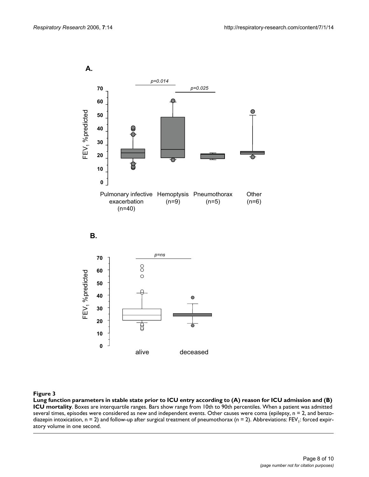





#### Lung function parameters in stable stat **Figure 3** e prior to ICU entry according to (A) reason for ICU admission and (B) ICU mortality

**Lung function parameters in stable state prior to ICU entry according to (A) reason for ICU admission and (B) ICU mortality**. Boxes are interquartile ranges. Bars show range from 10th to 90th percentiles. When a patient was admitted several times, episodes were considered as new and independent events. Other causes were coma (epilepsy, n = 2, and benzodiazepin intoxication, n = 2) and follow-up after surgical treatment of pneumothorax (n = 2). Abbreviations: FEV<sub>I</sub>: forced expir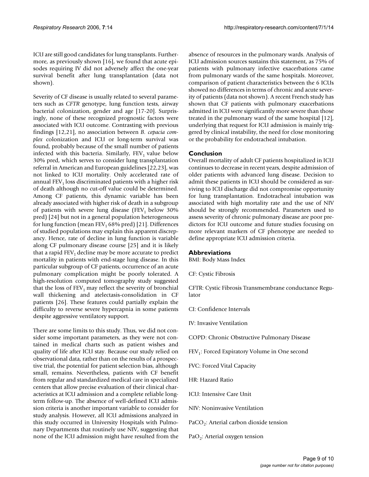ICU are still good candidates for lung transplants. Furthermore, as previously shown [16], we found that acute episodes requiring IV did not adversely affect the one-year survival benefit after lung transplantation (data not shown).

Severity of CF disease is usually related to several parameters such as *CFTR* genotype, lung function tests, airway bacterial colonization, gender and age [17-20]. Surprisingly, none of these recognized prognostic factors were associated with ICU outcome. Contrasting with previous findings [12,21], no association between *B. cepacia complex* colonization and ICU or long-term survival was found, probably because of the small number of patients infected with this bacteria. Similarly,  $FEV<sub>1</sub>$  value below 30% pred, which serves to consider lung transplantation referral in American and European guidelines [22,23], was not linked to ICU mortality. Only accelerated rate of annual  $FEV<sub>1</sub>$  loss discriminated patients with a higher risk of death although no cut-off value could be determined. Among CF patients, this dynamic variable has been already associated with higher risk of death in a subgroup of patients with severe lung disease (FEV<sub>1</sub> below 30%) pred) [24] but not in a general population heterogeneous for lung function (mean  $FEV<sub>1</sub> 68%$  pred) [21]. Differences of studied populations may explain this apparent discrepancy. Hence, rate of decline in lung function is variable along CF pulmonary disease course [25] and it is likely that a rapid  $FEV<sub>1</sub>$  decline may be more accurate to predict mortality in patients with end-stage lung disease. In this particular subgroup of CF patients, occurrence of an acute pulmonary complication might be poorly tolerated. A high-resolution computed tomography study suggested that the loss of  $FEV<sub>1</sub>$  may reflect the severity of bronchial wall thickening and atelectasis-consolidation in CF patients [26]. These features could partially explain the difficulty to reverse severe hypercapnia in some patients despite aggressive ventilatory support.

There are some limits to this study. Thus, we did not consider some important parameters, as they were not contained in medical charts such as patient wishes and quality of life after ICU stay. Because our study relied on observational data, rather than on the results of a prospective trial, the potential for patient selection bias, although small, remains. Nevertheless, patients with CF benefit from regular and standardized medical care in specialized centers that allow precise evaluation of their clinical characteristics at ICU admission and a complete reliable longterm follow-up. The absence of well-defined ICU admission criteria is another important variable to consider for study analysis. However, all ICU admissions analyzed in this study occurred in University Hospitals with Pulmonary Departments that routinely use NIV, suggesting that none of the ICU admission might have resulted from the absence of resources in the pulmonary wards. Analysis of ICU admission sources sustains this statement, as 75% of patients with pulmonary infective exacerbations came from pulmonary wards of the same hospitals. Moreover, comparison of patient characteristics between the 6 ICUs showed no differences in terms of chronic and acute severity of patients (data not shown). A recent French study has shown that CF patients with pulmonary exacerbations admitted in ICU were significantly more severe than those treated in the pulmonary ward of the same hospital [12], underlying that request for ICU admission is mainly triggered by clinical instability, the need for close monitoring or the probability for endotracheal intubation.

# **Conclusion**

Overall mortality of adult CF patients hospitalized in ICU continues to decrease in recent years, despite admission of older patients with advanced lung disease. Decision to admit these patients in ICU should be considered as surviving to ICU discharge did not compromise opportunity for lung transplantation. Endotracheal intubation was associated with high mortality rate and the use of NIV should be strongly recommended. Parameters used to assess severity of chronic pulmonary disease are poor predictors for ICU outcome and future studies focusing on more relevant markers of CF phenotype are needed to define appropriate ICU admission criteria.

# **Abbreviations**

BMI: Body Mass Index

CF: Cystic Fibrosis

CFTR: Cystic Fibrosis Transmembrane conductance Regulator

CI: Confidence Intervals

IV: Invasive Ventilation

COPD: Chronic Obstructive Pulmonary Disease

- FEV<sub>1</sub>: Forced Expiratory Volume in One second
- FVC: Forced Vital Capacity
- HR: Hazard Ratio
- ICU: Intensive Care Unit
- NIV: Noninvasive Ventilation
- PaCO<sub>2</sub>: Arterial carbon dioxide tension
- PaO<sub>2</sub>: Arterial oxygen tension